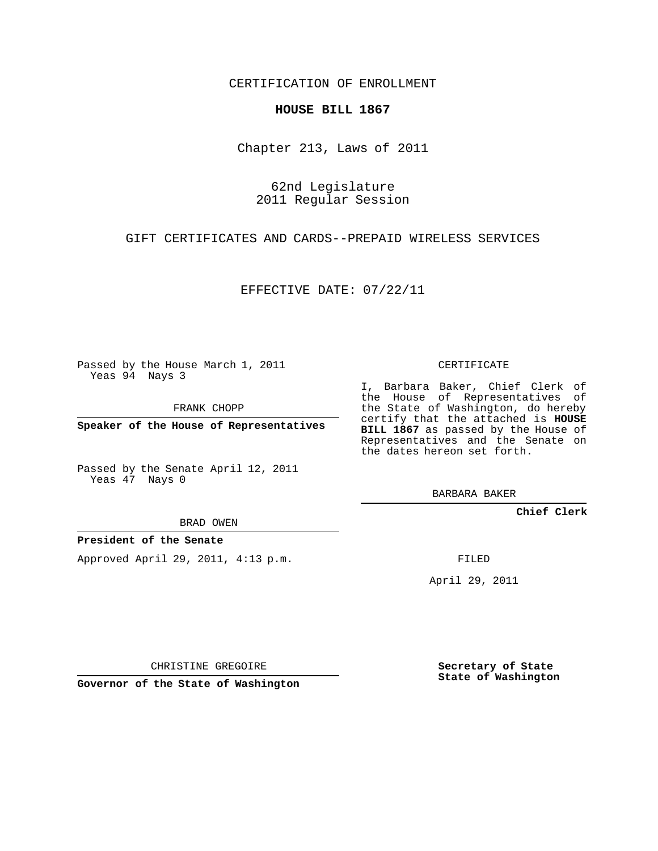CERTIFICATION OF ENROLLMENT

## **HOUSE BILL 1867**

Chapter 213, Laws of 2011

62nd Legislature 2011 Regular Session

GIFT CERTIFICATES AND CARDS--PREPAID WIRELESS SERVICES

EFFECTIVE DATE: 07/22/11

Passed by the House March 1, 2011 Yeas 94 Nays 3

FRANK CHOPP

**Speaker of the House of Representatives**

Passed by the Senate April 12, 2011 Yeas 47 Nays 0

BRAD OWEN

## **President of the Senate**

Approved April 29, 2011, 4:13 p.m.

CERTIFICATE

I, Barbara Baker, Chief Clerk of the House of Representatives of the State of Washington, do hereby certify that the attached is **HOUSE** BILL 1867 as passed by the House of Representatives and the Senate on the dates hereon set forth.

BARBARA BAKER

**Chief Clerk**

FILED

April 29, 2011

CHRISTINE GREGOIRE

**Governor of the State of Washington**

**Secretary of State State of Washington**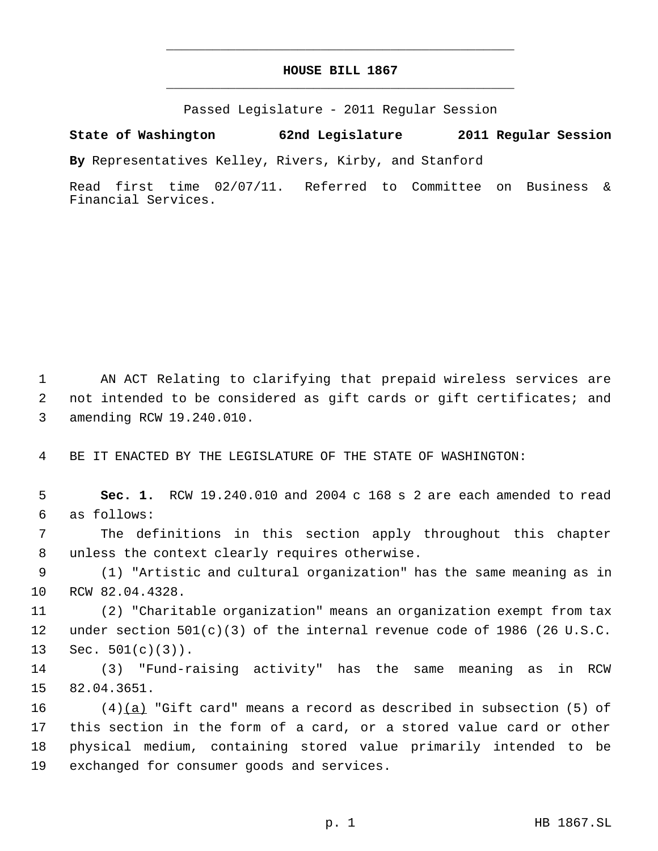## **HOUSE BILL 1867** \_\_\_\_\_\_\_\_\_\_\_\_\_\_\_\_\_\_\_\_\_\_\_\_\_\_\_\_\_\_\_\_\_\_\_\_\_\_\_\_\_\_\_\_\_

\_\_\_\_\_\_\_\_\_\_\_\_\_\_\_\_\_\_\_\_\_\_\_\_\_\_\_\_\_\_\_\_\_\_\_\_\_\_\_\_\_\_\_\_\_

Passed Legislature - 2011 Regular Session

**State of Washington 62nd Legislature 2011 Regular Session**

**By** Representatives Kelley, Rivers, Kirby, and Stanford

Read first time 02/07/11. Referred to Committee on Business & Financial Services.

 AN ACT Relating to clarifying that prepaid wireless services are not intended to be considered as gift cards or gift certificates; and amending RCW 19.240.010.

BE IT ENACTED BY THE LEGISLATURE OF THE STATE OF WASHINGTON:

 **Sec. 1.** RCW 19.240.010 and 2004 c 168 s 2 are each amended to read as follows:

 The definitions in this section apply throughout this chapter unless the context clearly requires otherwise.

 (1) "Artistic and cultural organization" has the same meaning as in RCW 82.04.4328.

 (2) "Charitable organization" means an organization exempt from tax under section 501(c)(3) of the internal revenue code of 1986 (26 U.S.C. Sec. 501(c)(3)).

 (3) "Fund-raising activity" has the same meaning as in RCW 82.04.3651.

16 (4) $(a)$  "Gift card" means a record as described in subsection (5) of this section in the form of a card, or a stored value card or other physical medium, containing stored value primarily intended to be exchanged for consumer goods and services.